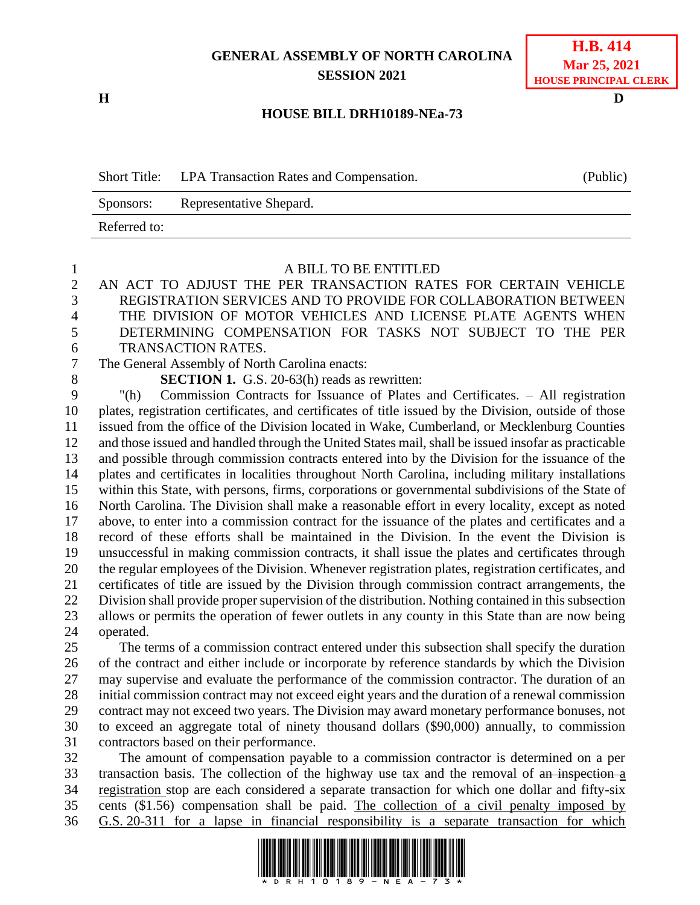# **GENERAL ASSEMBLY OF NORTH CAROLINA SESSION 2021**

**H D**

### **H.B. 414 Mar 25, 2021 HOUSE PRINCIPAL CLERK**

### **HOUSE BILL DRH10189-NEa-73**

|              | Short Title: LPA Transaction Rates and Compensation. | (Public) |
|--------------|------------------------------------------------------|----------|
| Sponsors:    | Representative Shepard.                              |          |
| Referred to: |                                                      |          |

## A BILL TO BE ENTITLED AN ACT TO ADJUST THE PER TRANSACTION RATES FOR CERTAIN VEHICLE REGISTRATION SERVICES AND TO PROVIDE FOR COLLABORATION BETWEEN THE DIVISION OF MOTOR VEHICLES AND LICENSE PLATE AGENTS WHEN DETERMINING COMPENSATION FOR TASKS NOT SUBJECT TO THE PER TRANSACTION RATES.

The General Assembly of North Carolina enacts:

**SECTION 1.** G.S. 20-63(h) reads as rewritten:

 "(h) Commission Contracts for Issuance of Plates and Certificates. – All registration plates, registration certificates, and certificates of title issued by the Division, outside of those issued from the office of the Division located in Wake, Cumberland, or Mecklenburg Counties and those issued and handled through the United States mail, shall be issued insofar as practicable and possible through commission contracts entered into by the Division for the issuance of the plates and certificates in localities throughout North Carolina, including military installations within this State, with persons, firms, corporations or governmental subdivisions of the State of North Carolina. The Division shall make a reasonable effort in every locality, except as noted above, to enter into a commission contract for the issuance of the plates and certificates and a record of these efforts shall be maintained in the Division. In the event the Division is unsuccessful in making commission contracts, it shall issue the plates and certificates through the regular employees of the Division. Whenever registration plates, registration certificates, and certificates of title are issued by the Division through commission contract arrangements, the Division shall provide proper supervision of the distribution. Nothing contained in this subsection allows or permits the operation of fewer outlets in any county in this State than are now being operated.

 The terms of a commission contract entered under this subsection shall specify the duration of the contract and either include or incorporate by reference standards by which the Division may supervise and evaluate the performance of the commission contractor. The duration of an initial commission contract may not exceed eight years and the duration of a renewal commission contract may not exceed two years. The Division may award monetary performance bonuses, not to exceed an aggregate total of ninety thousand dollars (\$90,000) annually, to commission contractors based on their performance.

 The amount of compensation payable to a commission contractor is determined on a per 33 transaction basis. The collection of the highway use tax and the removal of an inspection a registration stop are each considered a separate transaction for which one dollar and fifty-six cents (\$1.56) compensation shall be paid. The collection of a civil penalty imposed by G.S. 20-311 for a lapse in financial responsibility is a separate transaction for which